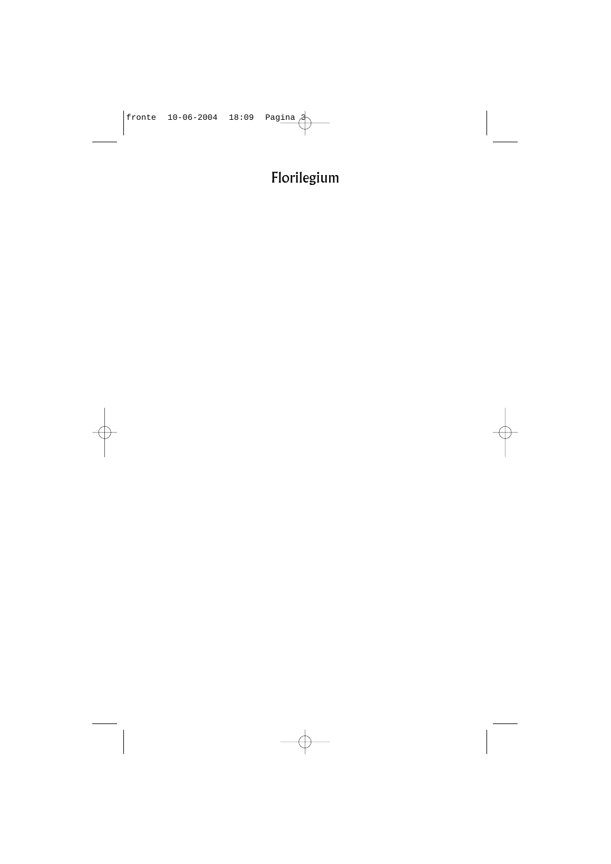## Florilegium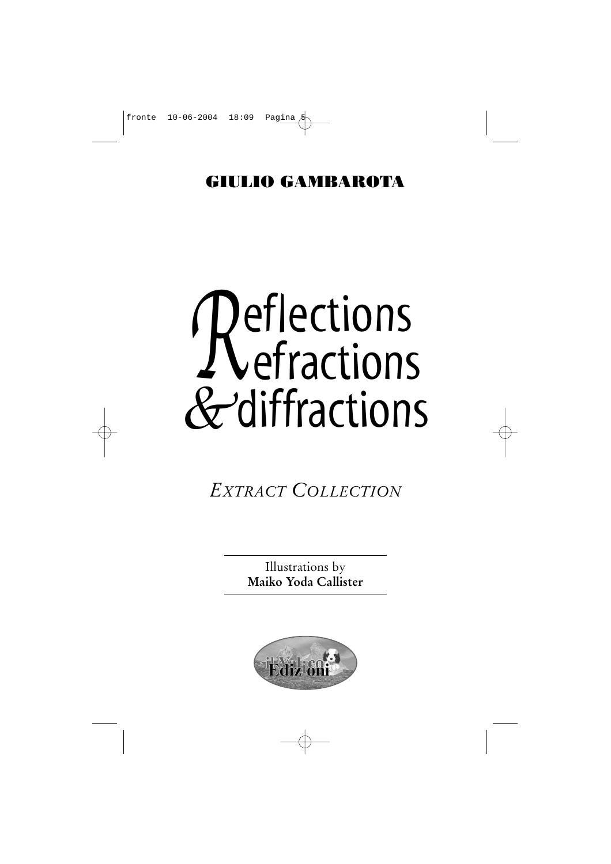### **LIO GAMBA**

# eflections efractions &diffractions R

# *EXTRACT COLLECTION*

Illustrations by **Maiko Yoda Callister**

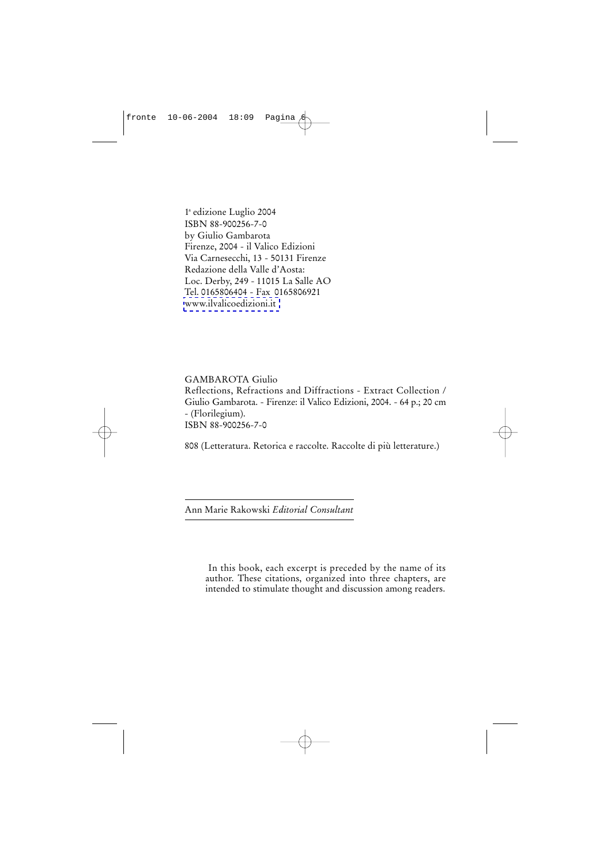1a edizione Luglio 2004 ISBN 88-900256-7-0 by Giulio Gambarota Firenze, 2004 - il Valico Edizioni Via Carnesecchi, 13 - 50131 Firenze Redazione della Valle d'Aosta: Loc. Derby, 249 - 11015 La Salle AO Tel. 0165806404 - Fax 0165806921 [www.ilvalicoedizioni.it](http://www.ilvalicoedizioni.it)

GAMBAROTA Giulio Reflections, Refractions and Diffractions - Extract Collection / Giulio Gambarota. - Firenze: il Valico Edizioni, 2004. - 64 p.; 20 cm - (Florilegium). ISBN 88-900256-7-0

808 (Letteratura. Retorica e raccolte. Raccolte di più letterature.)

Ann Marie Rakowski *Editorial Consultant*

In this book, each excerpt is preceded by the name of its author. These citations, organized into three chapters, are intended to stimulate thought and discussion among readers.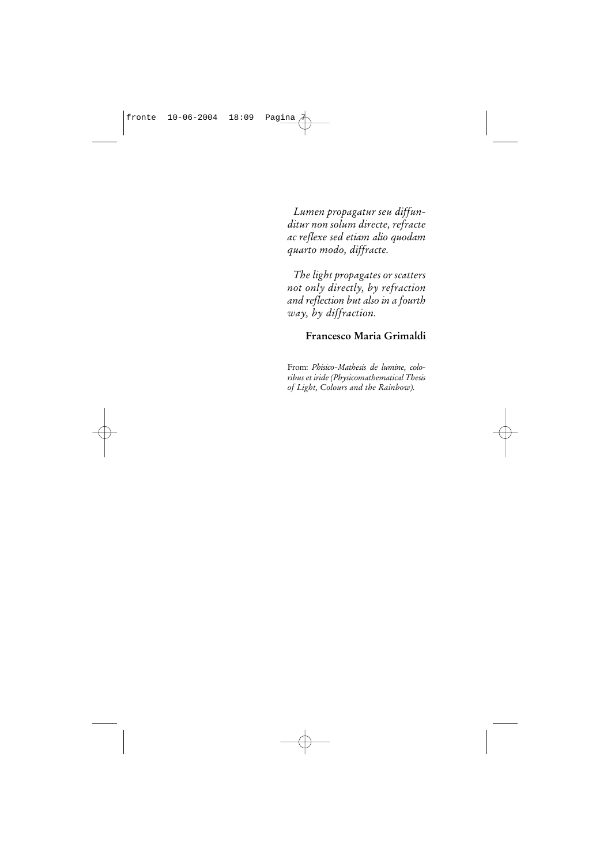*Lumen propagatur seu diffunditur non solum directe, refracte ac reflexe sed etiam alio quodam quarto modo, diffracte.*

*The light propagates or scatters not only directly, by refraction and reflection but also in a fourth way, by diffraction.*

#### **Francesco Maria Grimaldi**

From: *Phisico-Mathesis de lumine, coloribus et iride (Physicomathematical Thesis of Light, Colours and the Rainbow).*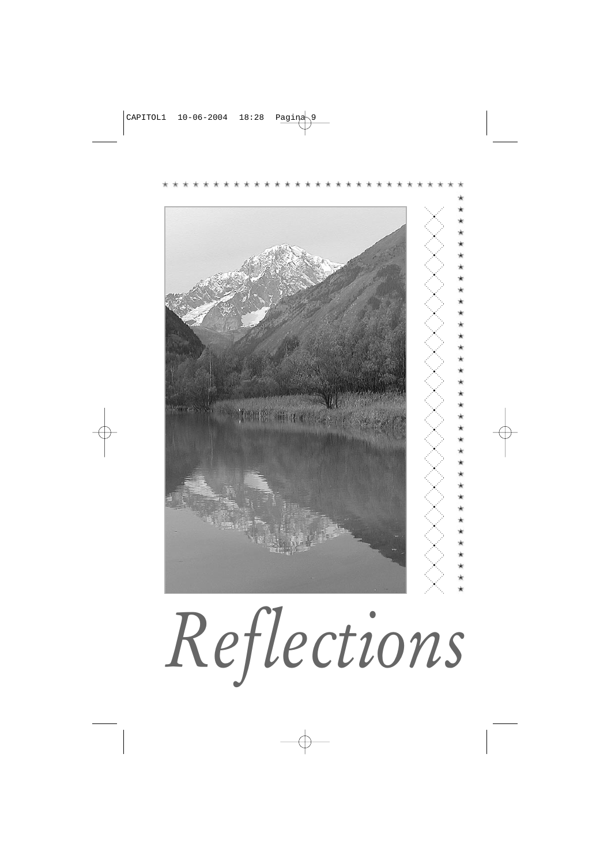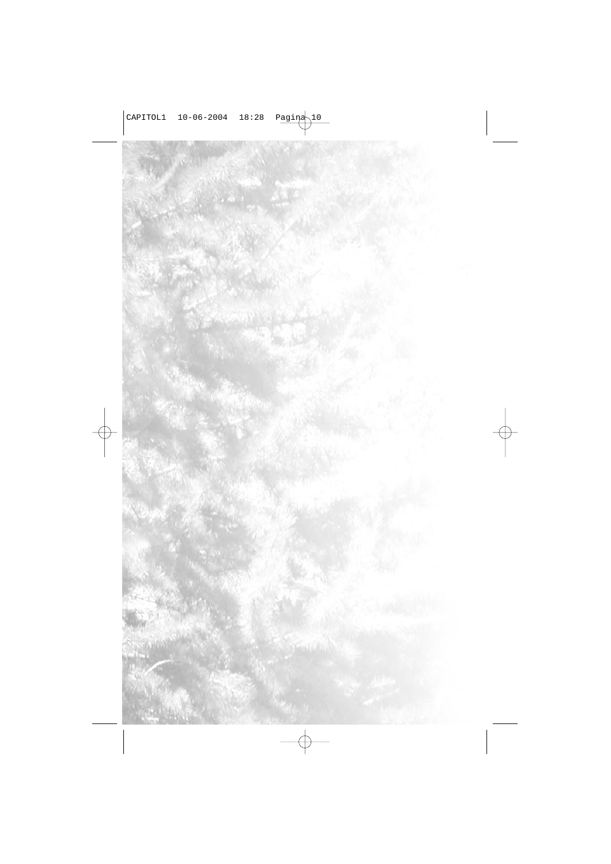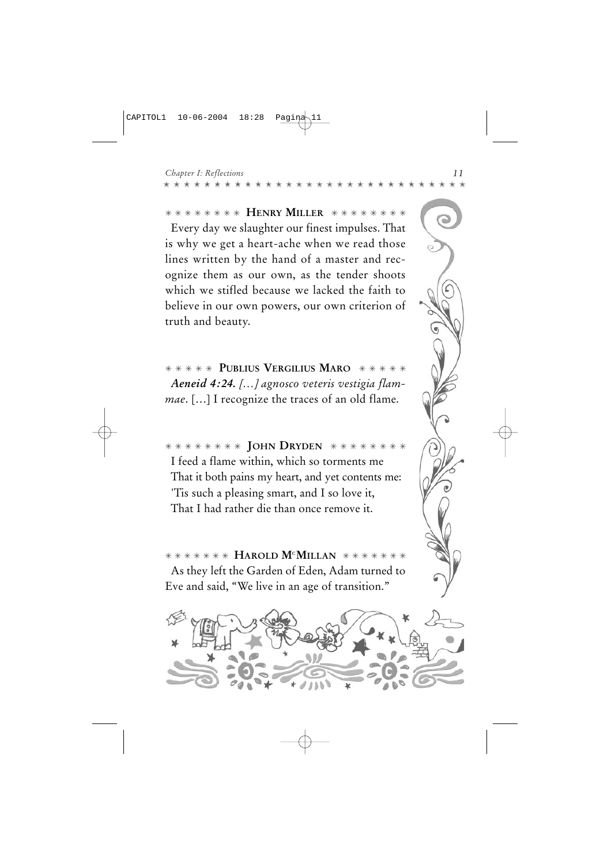✳ ✳ ✳ ✳ ✳ ✳ ✳ ✳ **HENRY MILLER** ✳ ✳ ✳ ✳ ✳ ✳ ✳ ✳ Every day we slaughter our finest impulses. That is why we get a heart-ache when we read those lines written by the hand of a master and recognize them as our own, as the tender shoots which we stifled because we lacked the faith to believe in our own powers, our own criterion of truth and beauty.

✳ ✳ ✳ ✳ ✳ **PUBLIUS VERGILIUS MARO** ✳ ✳ ✳ ✳ ✳ *Aeneid 4:24. […] agnosco veteris vestigia flammae*. […] I recognize the traces of an old flame.

✳ ✳ ✳ ✳ ✳ ✳ ✳ ✳ **JOHN DRYDEN** ✳ ✳ ✳ ✳ ✳ ✳ ✳ ✳ I feed a flame within, which so torments me That it both pains my heart, and yet contents me: 'Tis such a pleasing smart, and I so love it, That I had rather die than once remove it.

✳ ✳ ✳ ✳ ✳ ✳ ✳ **HAROLD MCMILLAN** ✳ ✳ ✳ ✳ ✳ ✳ ✳ As they left the Garden of Eden, Adam turned to Eve and said, "We live in an age of transition."



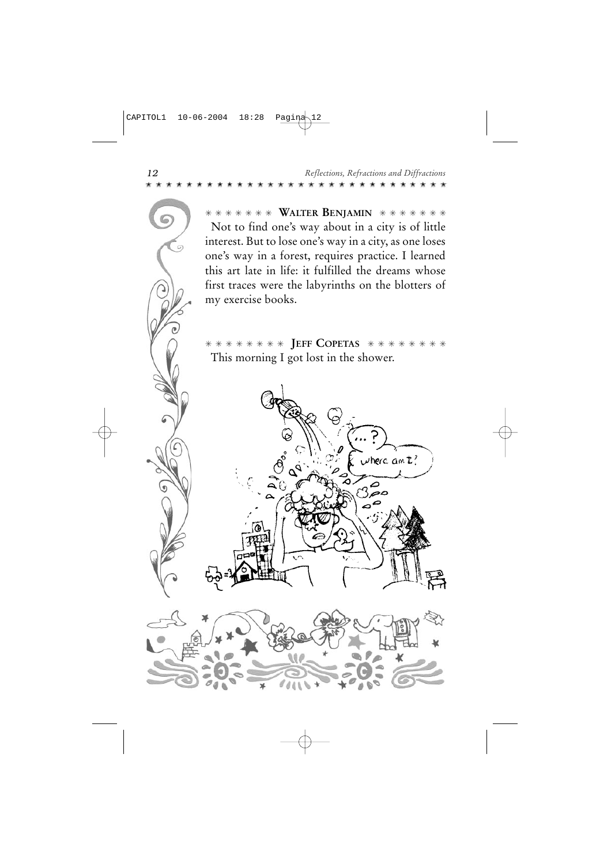✳ ✳ ✳ ✳ ✳ ✳ ✳ **WALTER BENJAMIN** ✳ ✳ ✳ ✳ ✳ ✳ ✳ Not to find one's way about in a city is of little interest. But to lose one's way in a city, as one loses one's way in a forest, requires practice. I learned this art late in life: it fulfilled the dreams whose first traces were the labyrinths on the blotters of my exercise books.

✳ ✳ ✳ ✳ ✳ ✳ ✳ ✳ **JEFF COPETAS** ✳ ✳ ✳ ✳ ✳ ✳ ✳ ✳ This morning I got lost in the shower.



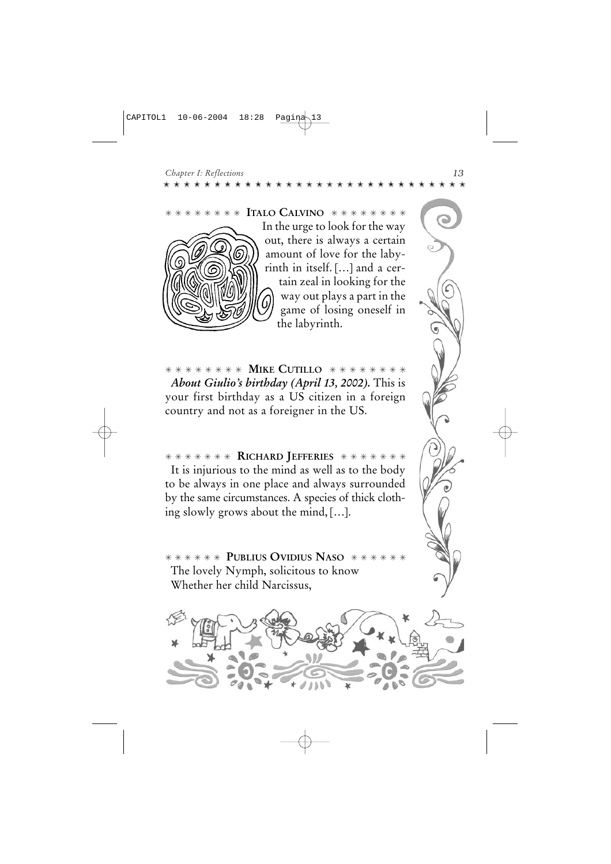✳ ✳ ✳ ✳ ✳ ✳ ✳ ✳ **ITALO CALVINO** ✳ ✳ ✳ ✳ ✳ ✳ ✳ ✳ In the urge to look for the way out, there is always a certain amount of love for the labyrinth in itself. […] and a certain zeal in looking for the way out plays a part in the game of losing oneself in the labyrinth.

✳ ✳ ✳ ✳ ✳ ✳ ✳ ✳ **MIKE CUTILLO** ✳ ✳ ✳ ✳ ✳ ✳ ✳ ✳ *About Giulio's birthday (April 13, 2002).* This is your first birthday as a US citizen in a foreign country and not as a foreigner in the US.

✳ ✳ ✳ ✳ ✳ ✳ ✳ **RICHARD JEFFERIES** ✳ ✳ ✳ ✳ ✳ ✳ ✳ It is injurious to the mind as well as to the body to be always in one place and always surrounded by the same circumstances. A species of thick clothing slowly grows about the mind, […].

✳ ✳ ✳ ✳ ✳ ✳ **PUBLIUS OVIDIUS NASO** ✳ ✳ ✳ ✳ ✳ ✳ The lovely Nymph, solicitous to know Whether her child Narcissus,

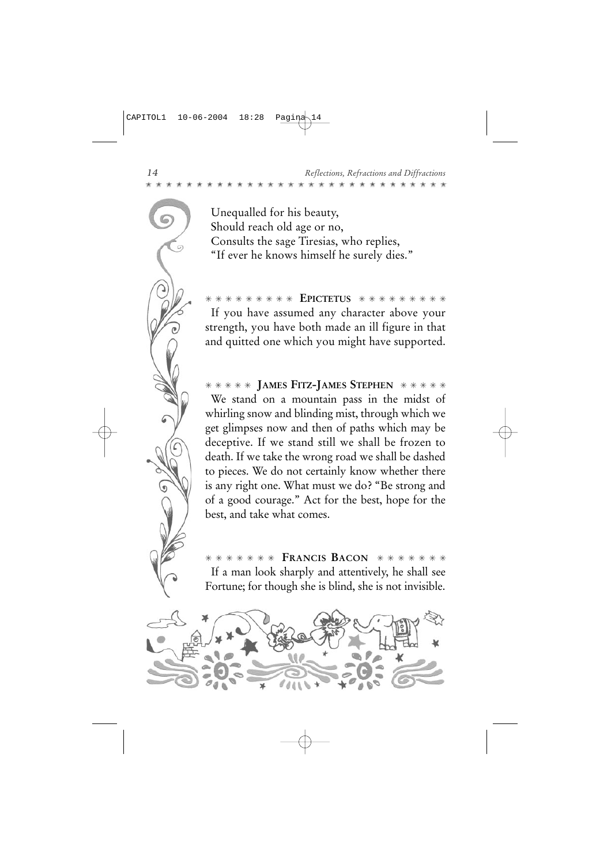*14 Reflections, Refractions and Diffractions* \*\*\*\*\*

> Unequalled for his beauty, Should reach old age or no, Consults the sage Tiresias, who replies, "If ever he knows himself he surely dies."

✳ ✳ ✳ ✳ ✳ ✳ ✳ ✳ ✳ **EPICTETUS** ✳ ✳ ✳ ✳ ✳ ✳ ✳ ✳ ✳ If you have assumed any character above your strength, you have both made an ill figure in that and quitted one which you might have supported.

✳ ✳ ✳ ✳ ✳ **JAMES FITZ-JAMES STEPHEN** ✳ ✳ ✳ ✳ ✳ We stand on a mountain pass in the midst of whirling snow and blinding mist, through which we get glimpses now and then of paths which may be deceptive. If we stand still we shall be frozen to death. If we take the wrong road we shall be dashed to pieces. We do not certainly know whether there is any right one. What must we do? "Be strong and of a good courage." Act for the best, hope for the best, and take what comes.

✳ ✳ ✳ ✳ ✳ ✳ ✳ **FRANCIS BACON** ✳ ✳ ✳ ✳ ✳ ✳ ✳ If a man look sharply and attentively, he shall see Fortune; for though she is blind, she is not invisible.

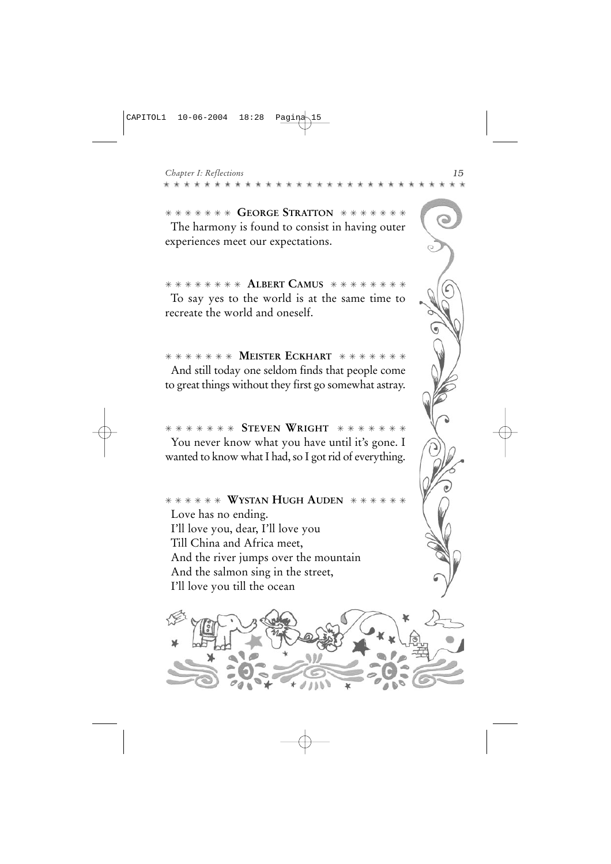✳ ✳ ✳ ✳ ✳ ✳ ✳ **GEORGE STRATTON** ✳ ✳ ✳ ✳ ✳ ✳ ✳ The harmony is found to consist in having outer experiences meet our expectations.

✳ ✳ ✳ ✳ ✳ ✳ ✳ ✳ **ALBERT CAMUS** ✳ ✳ ✳ ✳ ✳ ✳ ✳ ✳ To say yes to the world is at the same time to

recreate the world and oneself.

✳ ✳ ✳ ✳ ✳ ✳ ✳ **MEISTER ECKHART** ✳ ✳ ✳ ✳ ✳ ✳ ✳

And still today one seldom finds that people come to great things without they first go somewhat astray.

✳ ✳ ✳ ✳ ✳ ✳ ✳ **STEVEN WRIGHT** ✳ ✳ ✳ ✳ ✳ ✳ ✳

You never know what you have until it's gone. I wanted to know what I had, so I got rid of everything.

✳ ✳ ✳ ✳ ✳ ✳ **WYSTAN HUGH AUDEN** ✳ ✳ ✳ ✳ ✳ ✳ Love has no ending. I'll love you, dear, I'll love you Till China and Africa meet, And the river jumps over the mountain And the salmon sing in the street, I'll love you till the ocean

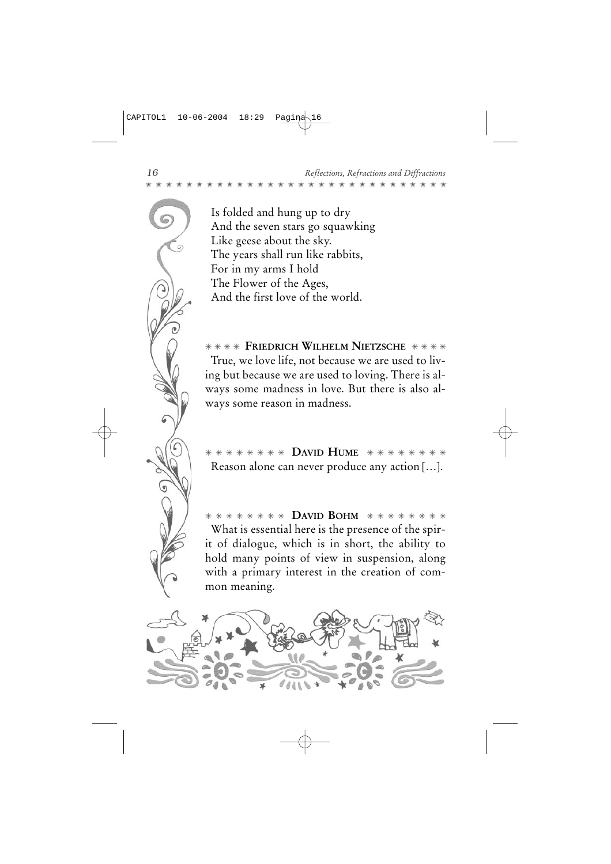*16 Reflections, Refractions and Diffractions*

Is folded and hung up to dry And the seven stars go squawking Like geese about the sky. The years shall run like rabbits, For in my arms I hold The Flower of the Ages, And the first love of the world.

✳ ✳ ✳ ✳ **FRIEDRICH WILHELM NIETZSCHE** ✳ ✳ ✳ ✳ True, we love life, not because we are used to living but because we are used to loving. There is always some madness in love. But there is also always some reason in madness.

✳ ✳ ✳ ✳ ✳ ✳ ✳ ✳ **DAVID HUME** ✳ ✳ ✳ ✳ ✳ ✳ ✳ ✳ Reason alone can never produce any action […].

✳ ✳ ✳ ✳ ✳ ✳ ✳ ✳ **DAVID BOHM** ✳ ✳ ✳ ✳ ✳ ✳ ✳ ✳ What is essential here is the presence of the spirit of dialogue, which is in short, the ability to hold many points of view in suspension, along with a primary interest in the creation of common meaning.

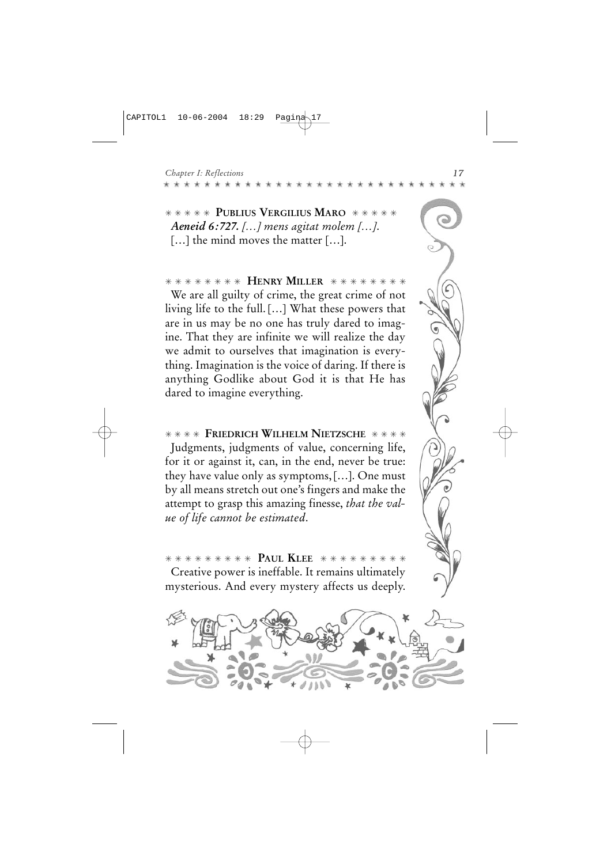✳ ✳ ✳ ✳ ✳ **PUBLIUS VERGILIUS MARO** ✳ ✳ ✳ ✳ ✳ *Aeneid 6 :727. […] mens agitat molem […]*. [...] the mind moves the matter [...].

✳ ✳ ✳ ✳ ✳ ✳ ✳ ✳ **HENRY MILLER** ✳ ✳ ✳ ✳ ✳ ✳ ✳ ✳ We are all guilty of crime, the great crime of not living life to the full. […] What these powers that are in us may be no one has truly dared to imagine. That they are infinite we will realize the day we admit to ourselves that imagination is everything. Imagination is the voice of daring. If there is anything Godlike about God it is that He has dared to imagine everything.

✳ ✳ ✳ ✳ **FRIEDRICH WILHELM NIETZSCHE** ✳ ✳ ✳ ✳ Judgments, judgments of value, concerning life, for it or against it, can, in the end, never be true: they have value only as symptoms, […]. One must by all means stretch out one's fingers and make the attempt to grasp this amazing finesse, *that the value of life cannot be estimated*.

✳ ✳ ✳ ✳ ✳ ✳ ✳ ✳ ✳ **PAUL KLEE** ✳ ✳ ✳ ✳ ✳ ✳ ✳ ✳ ✳ Creative power is ineffable. It remains ultimately mysterious. And every mystery affects us deeply.

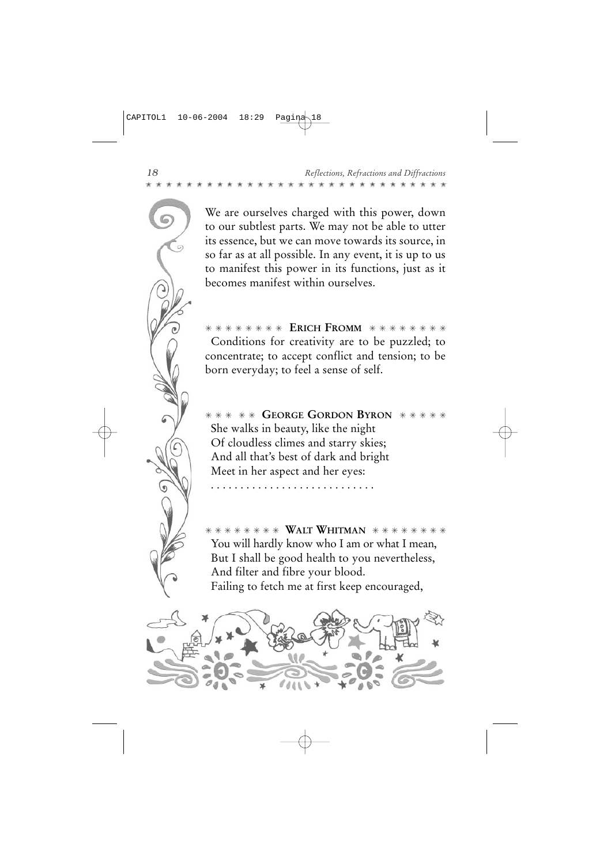*18 Reflections, Refractions and Diffractions* \* \* \* \* \* \*

We are ourselves charged with this power, down to our subtlest parts. We may not be able to utter its essence, but we can move towards its source, in so far as at all possible. In any event, it is up to us to manifest this power in its functions, just as it becomes manifest within ourselves.

✳ ✳ ✳ ✳ ✳ ✳ ✳ ✳ **ERICH FROMM** ✳ ✳ ✳ ✳ ✳ ✳ ✳ ✳ Conditions for creativity are to be puzzled; to concentrate; to accept conflict and tension; to be born everyday; to feel a sense of self.

✳ ✳ ✳ ✳ ✳ **GEORGE GORDON BYRON** ✳ ✳ ✳ ✳ ✳ She walks in beauty, like the night Of cloudless climes and starry skies; And all that's best of dark and bright Meet in her aspect and her eyes: . . . . . . . . . . . . . . . . . . . . . . . . . . . .

✳ ✳ ✳ ✳ ✳ ✳ ✳ ✳ **WALT WHITMAN** ✳ ✳ ✳ ✳ ✳ ✳ ✳ ✳ You will hardly know who I am or what I mean, But I shall be good health to you nevertheless, And filter and fibre your blood. Failing to fetch me at first keep encouraged,